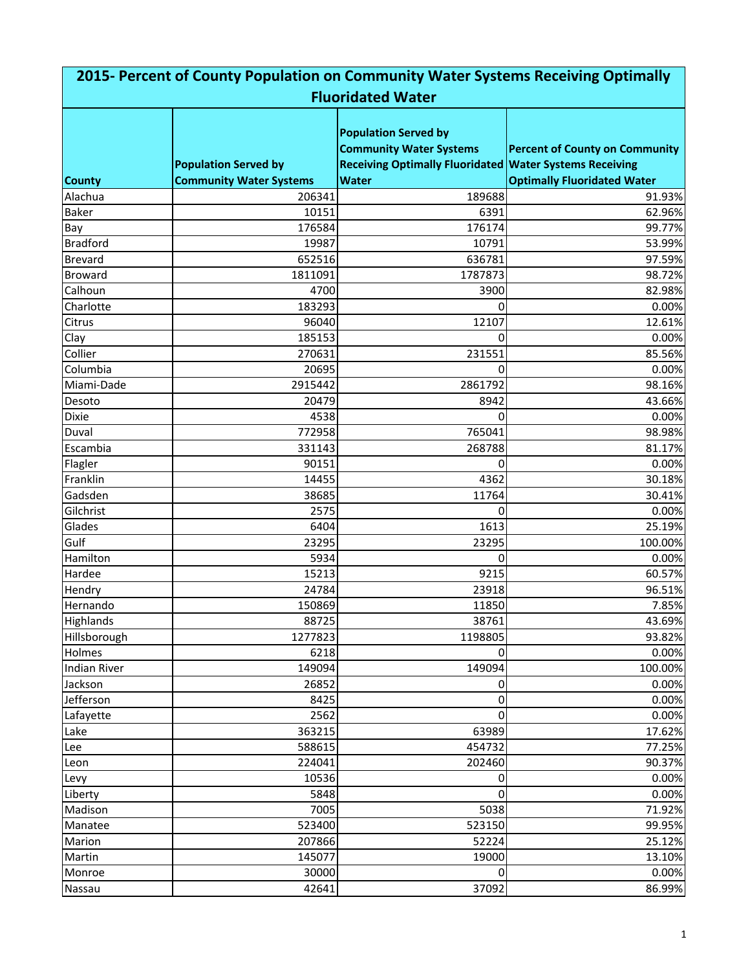| 2015- Percent of County Population on Community Water Systems Receiving Optimally |                                |                                                                                                                                 |                                       |  |
|-----------------------------------------------------------------------------------|--------------------------------|---------------------------------------------------------------------------------------------------------------------------------|---------------------------------------|--|
|                                                                                   |                                | <b>Fluoridated Water</b>                                                                                                        |                                       |  |
|                                                                                   | <b>Population Served by</b>    | <b>Population Served by</b><br><b>Community Water Systems</b><br><b>Receiving Optimally Fluoridated Water Systems Receiving</b> | <b>Percent of County on Community</b> |  |
| <b>County</b>                                                                     | <b>Community Water Systems</b> | <b>Water</b>                                                                                                                    | <b>Optimally Fluoridated Water</b>    |  |
| Alachua                                                                           | 206341                         | 189688                                                                                                                          | 91.93%                                |  |
| <b>Baker</b>                                                                      | 10151                          | 6391                                                                                                                            | 62.96%                                |  |
| Bay                                                                               | 176584                         | 176174                                                                                                                          | 99.77%                                |  |
| <b>Bradford</b>                                                                   | 19987                          | 10791                                                                                                                           | 53.99%                                |  |
| <b>Brevard</b>                                                                    | 652516                         | 636781                                                                                                                          | 97.59%                                |  |
| <b>Broward</b>                                                                    | 1811091                        | 1787873                                                                                                                         | 98.72%                                |  |
| Calhoun                                                                           | 4700                           | 3900                                                                                                                            | 82.98%                                |  |
| Charlotte                                                                         | 183293                         | 0                                                                                                                               | 0.00%                                 |  |
| <b>Citrus</b>                                                                     | 96040                          | 12107                                                                                                                           | 12.61%                                |  |
| Clay                                                                              | 185153                         | 0                                                                                                                               | 0.00%                                 |  |
| Collier                                                                           | 270631                         | 231551                                                                                                                          | 85.56%                                |  |
| Columbia                                                                          | 20695                          | 0                                                                                                                               | 0.00%                                 |  |
| Miami-Dade                                                                        | 2915442                        | 2861792                                                                                                                         | 98.16%                                |  |
| Desoto                                                                            | 20479                          | 8942                                                                                                                            | 43.66%                                |  |
| <b>Dixie</b>                                                                      | 4538                           | 0                                                                                                                               | 0.00%                                 |  |
| Duval                                                                             | 772958                         | 765041                                                                                                                          | 98.98%                                |  |
| Escambia                                                                          | 331143                         | 268788                                                                                                                          | 81.17%                                |  |
| Flagler                                                                           | 90151                          | 0                                                                                                                               | 0.00%                                 |  |
| Franklin                                                                          | 14455                          | 4362                                                                                                                            | 30.18%                                |  |
| Gadsden                                                                           | 38685                          | 11764                                                                                                                           | 30.41%                                |  |
| Gilchrist                                                                         | 2575                           | 0                                                                                                                               | 0.00%                                 |  |
| Glades                                                                            | 6404                           | 1613                                                                                                                            | 25.19%                                |  |
| Gulf                                                                              | 23295                          | 23295                                                                                                                           | 100.00%                               |  |
| Hamilton                                                                          | 5934                           | 0                                                                                                                               | 0.00%                                 |  |
| Hardee                                                                            | 15213                          | 9215                                                                                                                            | 60.57%                                |  |
| Hendry                                                                            | 24784                          | 23918                                                                                                                           | 96.51%                                |  |
| Hernando                                                                          | 150869                         | 11850                                                                                                                           | 7.85%                                 |  |
| Highlands                                                                         | 88725                          | 38761                                                                                                                           | 43.69%                                |  |
| Hillsborough                                                                      | 1277823                        | 1198805                                                                                                                         | 93.82%                                |  |
| Holmes                                                                            | 6218                           | 0                                                                                                                               | 0.00%                                 |  |
| <b>Indian River</b>                                                               | 149094                         | 149094                                                                                                                          | 100.00%                               |  |
| Jackson                                                                           | 26852                          | 0                                                                                                                               | 0.00%                                 |  |
| Jefferson                                                                         | 8425                           | 0                                                                                                                               | 0.00%                                 |  |
| Lafayette                                                                         | 2562                           | 0                                                                                                                               | 0.00%                                 |  |
| Lake                                                                              | 363215                         | 63989                                                                                                                           | 17.62%                                |  |
| Lee                                                                               | 588615                         | 454732                                                                                                                          | 77.25%                                |  |
| Leon                                                                              | 224041                         | 202460                                                                                                                          | 90.37%                                |  |
| Levy                                                                              | 10536                          | 0                                                                                                                               | 0.00%                                 |  |
| Liberty                                                                           | 5848                           | 0                                                                                                                               | 0.00%                                 |  |
| Madison                                                                           | 7005                           | 5038                                                                                                                            | 71.92%                                |  |
| Manatee                                                                           | 523400                         | 523150                                                                                                                          | 99.95%                                |  |
| Marion                                                                            | 207866                         | 52224                                                                                                                           | 25.12%                                |  |
| Martin                                                                            | 145077                         | 19000                                                                                                                           | 13.10%                                |  |
| Monroe                                                                            | 30000                          | 0                                                                                                                               | 0.00%                                 |  |
| Nassau                                                                            | 42641                          | 37092                                                                                                                           | 86.99%                                |  |